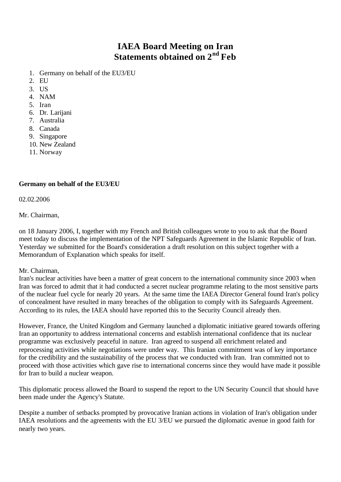# **IAEA Board Meeting on Iran Statements obtained on 2nd Feb**

- 1. Germany on behalf of the EU3/EU
- 2. EU
- 3. US
- 4. NAM
- 5. Iran
- 6. Dr. Larijani
- 7. Australia
- 8. Canada
- 9. Singapore
- 10. New Zealand
- 11. Norway

# **Germany on behalf of the EU3/EU**

02.02.2006

Mr. Chairman,

on 18 January 2006, I, together with my French and British colleagues wrote to you to ask that the Board meet today to discuss the implementation of the NPT Safeguards Agreement in the Islamic Republic of Iran. Yesterday we submitted for the Board's consideration a draft resolution on this subject together with a Memorandum of Explanation which speaks for itself.

#### Mr. Chairman,

Iran's nuclear activities have been a matter of great concern to the international community since 2003 when Iran was forced to admit that it had conducted a secret nuclear programme relating to the most sensitive parts of the nuclear fuel cycle for nearly 20 years. At the same time the IAEA Director General found Iran's policy of concealment have resulted in many breaches of the obligation to comply with its Safeguards Agreement. According to its rules, the IAEA should have reported this to the Security Council already then.

However, France, the United Kingdom and Germany launched a diplomatic initiative geared towards offering Iran an opportunity to address international concerns and establish international confidence that its nuclear programme was exclusively peaceful in nature. Iran agreed to suspend all enrichment related and reprocessing activities while negotiations were under way. This Iranian commitment was of key importance for the credibility and the sustainability of the process that we conducted with Iran. Iran committed not to proceed with those activities which gave rise to international concerns since they would have made it possible for Iran to build a nuclear weapon.

This diplomatic process allowed the Board to suspend the report to the UN Security Council that should have been made under the Agency's Statute.

Despite a number of setbacks prompted by provocative Iranian actions in violation of Iran's obligation under IAEA resolutions and the agreements with the EU 3/EU we pursued the diplomatic avenue in good faith for nearly two years.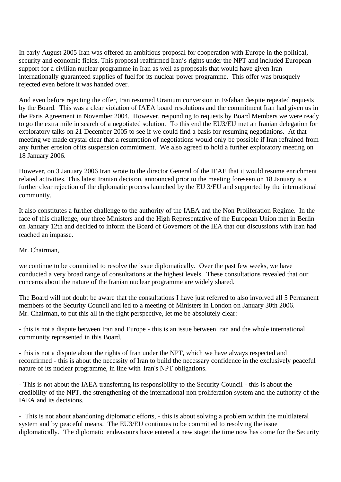In early August 2005 Iran was offered an ambitious proposal for cooperation with Europe in the political, security and economic fields. This proposal reaffirmed Iran's rights under the NPT and included European support for a civilian nuclear programme in Iran as well as proposals that would have given Iran internationally guaranteed supplies of fuel for its nuclear power programme. This offer was brusquely rejected even before it was handed over.

And even before rejecting the offer, Iran resumed Uranium conversion in Esfahan despite repeated requests by the Board. This was a clear violation of IAEA board resolutions and the commitment Iran had given us in the Paris Agreement in November 2004. However, responding to requests by Board Members we were ready to go the extra mile in search of a negotiated solution. To this end the EU3/EU met an Iranian delegation for exploratory talks on 21 December 2005 to see if we could find a basis for resuming negotiations. At that meeting we made crystal clear that a resumption of negotiations would only be possible if Iran refrained from any further erosion of its suspension commitment. We also agreed to hold a further exploratory meeting on 18 January 2006.

However, on 3 January 2006 Iran wrote to the director General of the IEAE that it would resume enrichment related activities. This latest Iranian decision, announced prior to the meeting foreseen on 18 January is a further clear rejection of the diplomatic process launched by the EU 3/EU and supported by the international community.

It also constitutes a further challenge to the authority of the IAEA and the Non Proliferation Regime. In the face of this challenge, our three Ministers and the High Representative of the European Union met in Berlin on January 12th and decided to inform the Board of Governors of the IEA that our discussions with Iran had reached an impasse.

#### Mr. Chairman,

we continue to be committed to resolve the issue diplomatically. Over the past few weeks, we have conducted a very broad range of consultations at the highest levels. These consultations revealed that our concerns about the nature of the Iranian nuclear programme are widely shared.

The Board will not doubt be aware that the consultations I have just referred to also involved all 5 Permanent members of the Security Council and led to a meeting of Ministers in London on January 30th 2006. Mr. Chairman, to put this all in the right perspective, let me be absolutely clear:

- this is not a dispute between Iran and Europe - this is an issue between Iran and the whole international community represented in this Board.

- this is not a dispute about the rights of Iran under the NPT, which we have always respected and reconfirmed - this is about the necessity of Iran to build the necessary confidence in the exclusively peaceful nature of its nuclear programme, in line with Iran's NPT obligations.

- This is not about the IAEA transferring its responsibility to the Security Council - this is about the credibility of the NPT, the strengthening of the international non-proliferation system and the authority of the IAEA and its decisions.

- This is not about abandoning diplomatic efforts, - this is about solving a problem within the multilateral system and by peaceful means. The EU3/EU continues to be committed to resolving the issue diplomatically. The diplomatic endeavours have entered a new stage: the time now has come for the Security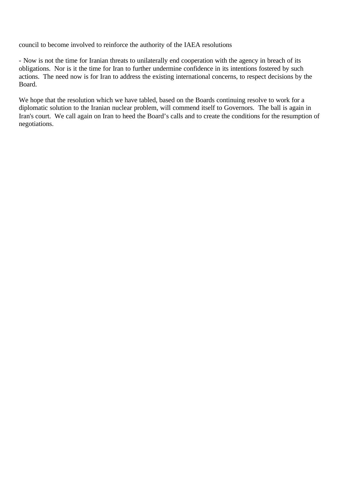council to become involved to reinforce the authority of the IAEA resolutions

- Now is not the time for Iranian threats to unilaterally end cooperation with the agency in breach of its obligations. Nor is it the time for Iran to further undermine confidence in its intentions fostered by such actions. The need now is for Iran to address the existing international concerns, to respect decisions by the Board.

We hope that the resolution which we have tabled, based on the Boards continuing resolve to work for a diplomatic solution to the Iranian nuclear problem, will commend itself to Governors. The ball is again in Iran's court. We call again on Iran to heed the Board's calls and to create the conditions for the resumption of negotiations.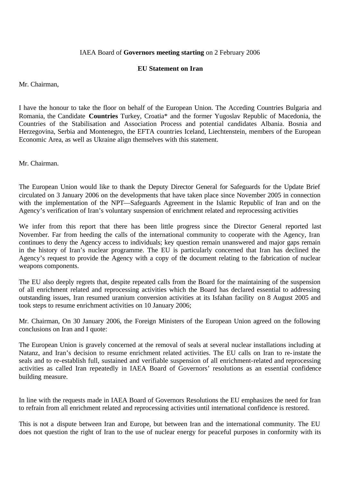### IAEA Board of **Governors meeting starting** on 2 February 2006

### **EU Statement on Iran**

Mr. Chairman,

I have the honour to take the floor on behalf of the European Union. The Acceding Countries Bulgaria and Romania, the Candidate **Countries** Turkey, Croatia\* and the former Yugoslav Republic of Macedonia, the Countries of the Stabilisation and Association Process and potential candidates Albania. Bosnia and Herzegovina, Serbia and Montenegro, the EFTA countries Iceland, Liechtenstein, members of the European Economic Area, as well as Ukraine align themselves with this statement.

Mr. Chairman.

The European Union would like to thank the Deputy Director General for Safeguards for the Update Brief circulated on 3 January 2006 on the developments that have taken place since November 2005 in connection with the implementation of the NPT—Safeguards Agreement in the Islamic Republic of Iran and on the Agency's verification of Iran's voluntary suspension of enrichment related and reprocessing activities

We infer from this report that there has been little progress since the Director General reported last November. Far from heeding the calls of the international community to cooperate with the Agency, Iran continues to deny the Agency access to individuals; key question remain unanswered and major gaps remain in the history of Iran's nuclear programme. The EU is particularly concerned that Iran has declined the Agency's request to provide the Agency with a copy of the document relating to the fabrication of nuclear weapons components.

The EU also deeply regrets that, despite repeated calls from the Board for the maintaining of the suspension of all enrichment related and reprocessing activities which the Board has declared essential to addressing outstanding issues, Iran resumed uranium conversion activities at its Isfahan facility on 8 August 2005 and took steps to resume enrichment activities on 10 January 2006;

Mr. Chairman, On 30 January 2006, the Foreign Ministers of the European Union agreed on the following conclusions on Iran and I quote:

The European Union is gravely concerned at the removal of seals at several nuclear installations including at Natanz, and Iran's decision to resume enrichment related activities. The EU calls on Iran to re-instate the seals and to re-establish full, sustained and verifiable suspension of all enrichment-related and reprocessing activities as called Iran repeatedly in IAEA Board of Governors' resolutions as an essential confidence building measure.

In line with the requests made in IAEA Board of Governors Resolutions the EU emphasizes the need for Iran to refrain from all enrichment related and reprocessing activities until international confidence is restored.

This is not a dispute between Iran and Europe, but between Iran and the international community. The EU does not question the right of Iran to the use of nuclear energy for peaceful purposes in conformity with its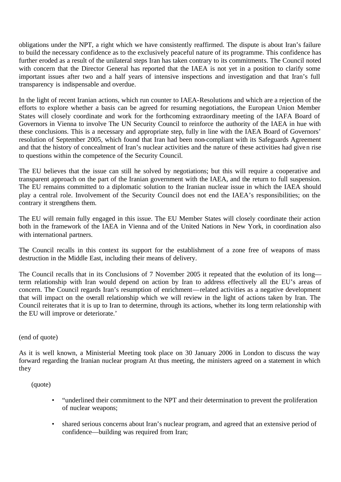obligations under the NPT, a right which we have consistently reaffirmed. The dispute is about Iran's failure to build the necessary confidence as to the exclusively peaceful nature of its programme. This confidence has further eroded as a result of the unilateral steps Iran has taken contrary to its commitments. The Council noted with concern that the Director General has reported that the IAEA is not yet in a position to clarify some important issues after two and a half years of intensive inspections and investigation and that Iran's full transparency is indispensable and overdue.

In the light of recent Iranian actions, which run counter to IAEA-Resolutions and which are a rejection of the efforts to explore whether a basis can be agreed for resuming negotiations, the European Union Member States will closely coordinate and work for the forthcoming extraordinary meeting of the IAFA Board of Governors in Vienna to involve The UN Security Council to reinforce the authority of the IAEA in hue with these conclusions. This is a necessary and appropriate step, fully in line with the IAEA Board of Governors' resolution of September 2005, which found that Iran had been non-compliant with its Safeguards Agreement and that the history of concealment of Iran's nuclear activities and the nature of these activities had given rise to questions within the competence of the Security Council.

The EU believes that the issue can still he solved by negotiations; but this will require a cooperative and transparent approach on the part of the Iranian government with the IAEA, and the return to full suspension. The EU remains committed to a diplomatic solution to the Iranian nuclear issue in which the IAEA should play a central role. Involvement of the Security Council does not end the IAEA's responsibilities; on the contrary it strengthens them.

The EU will remain fully engaged in this issue. The EU Member States will closely coordinate their action both in the framework of the IAEA in Vienna and of the United Nations in New York, in coordination also with international partners.

The Council recalls in this context its support for the establishment of a zone free of weapons of mass destruction in the Middle East, including their means of delivery.

The Council recalls that in its Conclusions of 7 November 2005 it repeated that the evolution of its long term relationship with Iran would depend on action by Iran to address effectively all the EU's areas of concern. The Council regards Iran's resumption of enrichment—related activities as a negative development that will impact on the overall relationship which we will review in the light of actions taken by Iran. The Council reiterates that it is up to Iran to determine, through its actions, whether its long term relationship with the EU will improve or deteriorate.'

## (end of quote)

As it is well known, a Ministerial Meeting took place on 30 January 2006 in London to discuss the way forward regarding the Iranian nuclear program At thus meeting, the ministers agreed on a statement in which they

(quote)

- "underlined their commitment to the NPT and their determination to prevent the proliferation of nuclear weapons;
- shared serious concerns about Iran's nuclear program, and agreed that an extensive period of confidence—building was required from Iran;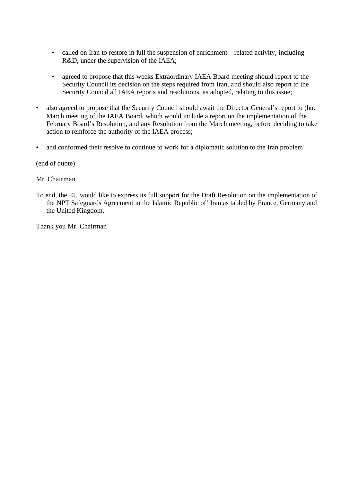- called on Iran to restore in full the suspension of enrichment—related activity, including R&D, under the supervision of the IAEA;
- agreed to propose that this weeks Extraordinary IAEA Board meeting should report to the Security Council its decision on the steps required from Iran, and should also report to the Security Council all IAEA reports and resolutions, as adopted, relating to this issue;
- also agreed to propose that the Security Council should await the Director General's report to (hue March meeting of the IAEA Board, which would include a report on the implementation of the February Board's Resolution, and any Resolution from the March meeting, before deciding to take action to reinforce the authority of the IAEA process;
- and conformed their resolve to continue to work for a diplomatic solution to the Iran problem

(end of quote)

Mr. Chairman

To end, the EU would like to express its full support for the Draft Resolution on the implementation of the NPT Safeguards Agreement in the Islamic Republic of' Iran as tabled by France, Germany and the United Kingdom.

Thank you Mr. Chairman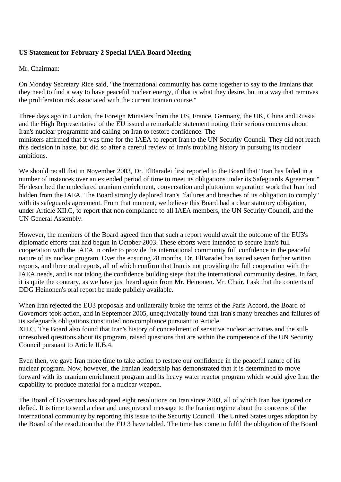# **US Statement for February 2 Special IAEA Board Meeting**

### Mr. Chairman:

On Monday Secretary Rice said, "the international community has come together to say to the Iranians that they need to find a way to have peaceful nuclear energy, if that is what they desire, but in a way that removes the proliferation risk associated with the current Iranian course."

Three days ago in London, the Foreign Ministers from the US, France, Germany, the UK, China and Russia and the High Representative of the EU issued a remarkable statement noting their serious concerns about Iran's nuclear programme and calling on Iran to restore confidence. The ministers affirmed that it was time for the IAEA to report Iran to the UN Security Council. They did not reach this decision in haste, but did so after a careful review of Iran's troubling history in pursuing its nuclear ambitions.

We should recall that in November 2003, Dr. ElBaradei first reported to the Board that "Iran has failed in a number of instances over an extended period of time to meet its obligations under its Safeguards Agreement." He described the undeclared uranium enrichment, conversation and plutonium separation work that Iran had hidden from the IAEA. The Board strongly deplored Iran's "failures and breaches of its obligation to comply" with its safeguards agreement. From that moment, we believe this Board had a clear statutory obligation, under Article XII.C, to report that non-compliance to all IAEA members, the UN Security Council, and the UN General Assembly.

However, the members of the Board agreed then that such a report would await the outcome of the EU3's diplomatic efforts that had begun in October 2003. These efforts were intended to secure Iran's full cooperation with the IAEA in order to provide the international community full confidence in the peaceful nature of its nuclear program. Over the ensuring 28 months, Dr. ElBaradei has issued seven further written reports, and three oral reports, all of which confirm that Iran is not providing the full cooperation with the IAEA needs, and is not taking the confidence building steps that the international community desires. In fact, it is quite the contrary, as we have just heard again from Mr. Heinonen. Mr. Chair, I ask that the contents of DDG Heinonen's oral report be made publicly available.

When Iran rejected the EU3 proposals and unilaterally broke the terms of the Paris Accord, the Board of Governors took action, and in September 2005, unequivocally found that Iran's many breaches and failures of its safeguards obligations constituted non-compliance pursuant to Article XII.C. The Board also found that Iran's history of concealment of sensitive nuclear activities and the stillunresolved questions about its program, raised questions that are within the competence of the UN Security Council pursuant to Article II.B.4.

Even then, we gave Iran more time to take action to restore our confidence in the peaceful nature of its nuclear program. Now, however, the Iranian leadership has demonstrated that it is determined to move forward with its uranium enrichment program and its heavy water reactor program which would give Iran the capability to produce material for a nuclear weapon.

The Board of Governors has adopted eight resolutions on Iran since 2003, all of which Iran has ignored or defied. It is time to send a clear and unequivocal message to the Iranian regime about the concerns of the international community by reporting this issue to the Security Council. The United States urges adoption by the Board of the resolution that the EU 3 have tabled. The time has come to fulfil the obligation of the Board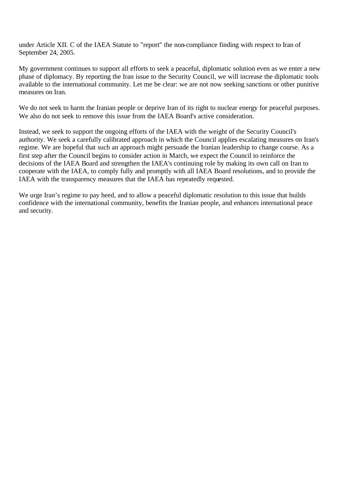under Article XII. C of the IAEA Statute to "report" the non-compliance finding with respect to Iran of September 24, 2005.

My government continues to support all efforts to seek a peaceful, diplomatic solution even as we enter a new phase of diplomacy. By reporting the Iran issue to the Security Council, we will increase the diplomatic tools available to the international community. Let me be clear: we are not now seeking sanctions or other punitive measures on Iran.

We do not seek to harm the Iranian people or deprive Iran of its right to nuclear energy for peaceful purposes. We also do not seek to remove this issue from the IAEA Board's active consideration.

Instead, we seek to support the ongoing efforts of the IAEA with the weight of the Security Council's authority. We seek a carefully calibrated approach in which the Council applies escalating measures on Iran's regime. We are hopeful that such an approach might persuade the Iranian leadership to change course. As a first step after the Council begins to consider action in March, we expect the Council to reinforce the decisions of the IAEA Board and strengthen the IAEA's continuing role by making its own call on Iran to cooperate with the IAEA, to comply fully and promptly with all IAEA Board resolutions, and to provide the IAEA with the transparency measures that the IAEA has repeatedly requested.

We urge Iran's regime to pay heed, and to allow a peaceful diplomatic resolution to this issue that builds confidence with the international community, benefits the Iranian people, and enhances international peace and security.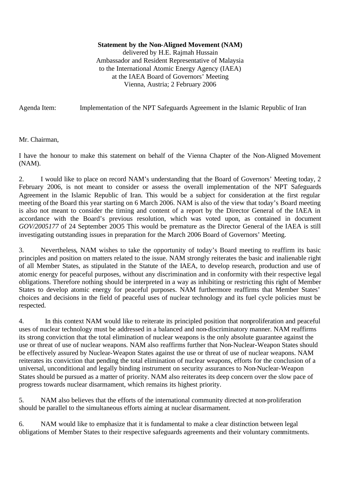**Statement by the Non-Aligned Movement (NAM)**

delivered by H.E. Rajmah Hussain Ambassador and Resident Representative of Malaysia to the International Atomic Energy Agency (IAEA) at the IAEA Board of Governors' Meeting Vienna, Austria; 2 February 2006

Agenda Item: Implementation of the NPT Safeguards Agreement in the Islamic Republic of Iran

Mr. Chairman,

I have the honour to make this statement on behalf of the Vienna Chapter of the Non-Aligned Movement (NAM).

2. I would like to place on record NAM's understanding that the Board of Governors' Meeting today, 2 February 2006, is not meant to consider or assess the overall implementation of the NPT Safeguards Agreement in the Islamic Republic of Iran. This would be a subject for consideration at the first regular meeting of the Board this year starting on 6 March 2006. NAM is also of the view that today's Board meeting is also not meant to consider the timing and content of a report by the Director General of the IAEA in accordance with the Board's previous resolution, which was voted upon, as contained in document *GOV/2005177* of 24 September 20O5 This would be premature as the Director General of the IAEA is still investigating outstanding issues in preparation for the March 2006 Board of Governors' Meeting.

3. Nevertheless, NAM wishes to take the opportunity of today's Board meeting to reaffirm its basic principles and position on matters related to the issue. NAM strongly reiterates the basic and inalienable right of all Member States, as stipulated in the Statute of the IAEA, to develop research, production and use of atomic energy for peaceful purposes, without any discrimination and in conformity with their respective legal obligations. Therefore nothing should be interpreted in a way as inhibiting or restricting this right of Member States to develop atomic energy for peaceful purposes. NAM furthermore reaffirms that Member States' choices and decisions in the field of peaceful uses of nuclear technology and its fuel cycle policies must be respected.

4. In this context NAM would like to reiterate its principled position that nonproliferation and peaceful uses of nuclear technology must be addressed in a balanced and non-discriminatory manner. NAM reaffirms its strong conviction that the total elimination of nuclear weapons is the only absolute guarantee against the use or threat of use of nuclear weapons. NAM also reaffirms further that Non-Nuclear-Weapon States should be effectively assured by Nuclear-Weapon States against the use or threat of use of nuclear weapons. NAM reiterates its conviction that pending the total elimination of nuclear weapons, efforts for the conclusion of a universal, unconditional and legally binding instrument on security assurances to Non-Nuclear-Weapon States should be pursued as a matter of priority. NAM also reiterates its deep concern over the slow pace of progress towards nuclear disarmament, which remains its highest priority.

5. NAM also believes that the efforts of the international community directed at non-proliferation should be parallel to the simultaneous efforts aiming at nuclear disarmament.

6. NAM would like to emphasize that it is fundamental to make a clear distinction between legal obligations of Member States to their respective safeguards agreements and their voluntary commitments.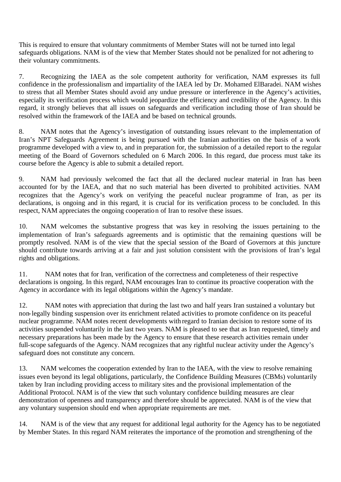This is required to ensure that voluntary commitments of Member States will not be turned into legal safeguards obligations. NAM is of the view that Member States should not be penalized for not adhering to their voluntary commitments.

7. Recognizing the IAEA as the sole competent authority for verification, NAM expresses its full confidence in the professionalism and impartiality of the IAEA led by Dr. Mohamed ElBaradei. NAM wishes to stress that all Member States should avoid any undue pressure or interference in the Agency's activities, especially its verification process which would jeopardize the efficiency and credibility of the Agency. In this regard, it strongly believes that all issues on safeguards and verification including those of Iran should be resolved within the framework of the IAEA and be based on technical grounds.

8. NAM notes that the Agency's investigation of outstanding issues relevant to the implementation of Iran's NPT Safeguards Agreement is being pursued with the Iranian authorities on the basis of a work programme developed with a view to, and in preparation for, the submission of a detailed report to the regular meeting of the Board of Governors scheduled on 6 March 2006. In this regard, due process must take its course before the Agency is able to submit a detailed report.

9. NAM had previously welcomed the fact that all the declared nuclear material in Iran has been accounted for by the IAEA, and that no such material has been diverted to prohibited activities. NAM recognizes that the Agency's work on verifying the peaceful nuclear programme of Iran, as per its declarations, is ongoing and in this regard, it is crucial for its verification process to be concluded. In this respect, NAM appreciates the ongoing cooperation of Iran to resolve these issues.

10. NAM welcomes the substantive progress that was key in resolving the issues pertaining to the implementation of Iran's safeguards agreements and is optimistic that the remaining questions will be promptly resolved. NAM is of the view that the special session of the Board of Governors at this juncture should contribute towards arriving at a fair and just solution consistent with the provisions of Iran's legal rights and obligations.

11. NAM notes that for Iran, verification of the correctness and completeness of their respective declarations is ongoing. In this regard, NAM encourages Iran to continue its proactive cooperation with the Agency in accordance with its legal obligations within the Agency's mandate.

12. NAM notes with appreciation that during the last two and half years Iran sustained a voluntary but non-legally binding suspension over its enrichment related activities to promote confidence on its peaceful nuclear programme. NAM notes recent developments with regard to Iranian decision to restore some of its activities suspended voluntarily in the last two years. NAM is pleased to see that as Iran requested, timely and necessary preparations has been made by the Agency to ensure that these research activities remain under full-scope safeguards of the Agency. NAM recognizes that any rightful nuclear activity under the Agency's safeguard does not constitute any concern.

13. NAM welcomes the cooperation extended by Iran to the IAEA, with the view to resolve remaining issues even beyond its legal obligations, particularly, the Confidence Building Measures (CBMs) voluntarily taken by Iran including providing access to military sites and the provisional implementation of the Additional Protocol. NAM is of the view that such voluntary confidence building measures are clear demonstration of openness and transparency and therefore should be appreciated. NAM is of the view that any voluntary suspension should end when appropriate requirements are met.

14. NAM is of the view that any request for additional legal authority for the Agency has to be negotiated by Member States. In this regard NAM reiterates the importance of the promotion and strengthening of the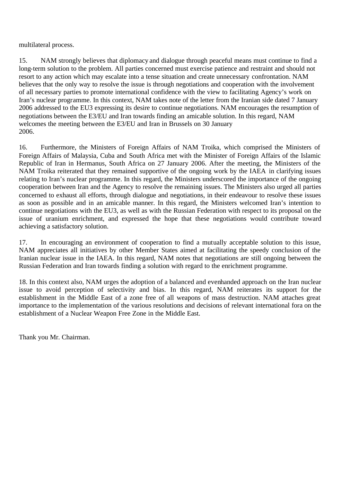multilateral process.

15. NAM strongly believes that diplomacy and dialogue through peaceful means must continue to find a long-term solution to the problem. All parties concerned must exercise patience and restraint and should not resort to any action which may escalate into a tense situation and create unnecessary confrontation. NAM believes that the only way to resolve the issue is through negotiations and cooperation with the involvement of all necessary parties to promote international confidence with the view to facilitating Agency's work on Iran's nuclear programme. In this context, NAM takes note of the letter from the Iranian side dated 7 January 2006 addressed to the EU3 expressing its desire to continue negotiations. NAM encourages the resumption of negotiations between the E3/EU and Iran towards finding an amicable solution. In this regard, NAM welcomes the meeting between the E3/EU and Iran in Brussels on 30 January 2006.

16. Furthermore, the Ministers of Foreign Affairs of NAM Troika, which comprised the Ministers of Foreign Affairs of Malaysia, Cuba and South Africa met with the Minister of Foreign Affairs of the Islamic Republic of Iran in Hermanus, South Africa on 27 January 2006. After the meeting, the Ministers of the NAM Troika reiterated that they remained supportive of the ongoing work by the IAEA in clarifying issues relating to Iran's nuclear programme. In this regard, the Ministers underscored the importance of the ongoing cooperation between Iran and the Agency to resolve the remaining issues. The Ministers also urged all parties concerned to exhaust all efforts, through dialogue and negotiations, in their endeavour to resolve these issues as soon as possible and in an amicable manner. In this regard, the Ministers welcomed Iran's intention to continue negotiations with the EU3, as well as with the Russian Federation with respect to its proposal on the issue of uranium enrichment, and expressed the hope that these negotiations would contribute toward achieving a satisfactory solution.

17. In encouraging an environment of cooperation to find a mutually acceptable solution to this issue, NAM appreciates all initiatives by other Member States aimed at facilitating the speedy conclusion of the Iranian nuclear issue in the IAEA. In this regard, NAM notes that negotiations are still ongoing between the Russian Federation and Iran towards finding a solution with regard to the enrichment programme.

18. In this context also, NAM urges the adoption of a balanced and evenhanded approach on the Iran nuclear issue to avoid perception of selectivity and bias. In this regard, NAM reiterates its support for the establishment in the Middle East of a zone free of all weapons of mass destruction. NAM attaches great importance to the implementation of the various resolutions and decisions of relevant international fora on the establishment of a Nuclear Weapon Free Zone in the Middle East.

Thank you Mr. Chairman.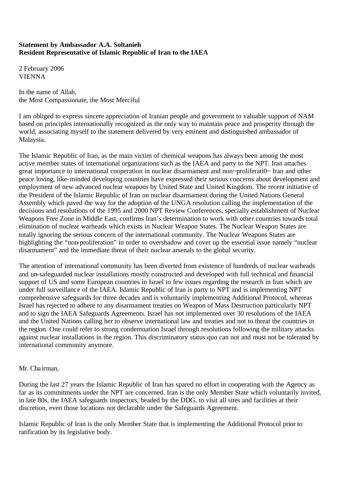## **Statement by Ambassador A.A. Soltanieh Resident Representative of Islamic Republic of Iran to the IAEA**

2 February 2006 VIENNA

In the name of Allah, the Most Compassionate, the Most Merciful

I am obliged to express sincere appreciation of Iranian people and government to valuable support of NAM based on principles internationally recognized as the only way to maintain peace and prosperity through the world, associating myself to the statement delivered by very eminent and distinguished ambassador of Malaysia.

The Islamic Republic of Iran, as the main victim of chemical weapons has always been among the most active member states of international organizations such as the IAEA and party to the NPT. Iran attaches great importance to international cooperation in nuclear disarmament and non~proliferati0~ Iran and other peace loving, like-minded developing countries have expressed their serious concerns about development and employment of new advanced nuclear weapons by United State and United Kingdom. The recent initiative of the President of the Islamic Republic of Iran on nuclear disarmament during the United Nations General Assembly which paved the way for the adoption of the UNGA resolution calling the implementation of the decisions and resolutions of the 1995 and 2000 NPT Review Conferences, specially establishment of Nuclear Weapons Free Zone in Middle East, confirms Iran's determination to work with other countries towards total elimination of nuclear warheads which exists in Nuclear Weapon States. The Nuclear Weapon States are totally ignoring the serious concern of the international community. The Nuclear Weapons States are highlighting the "non-proliferation" in order to overshadow and cover up the essential issue namely "nuclear disarmament" and the immediate threat of their nuclear arsenals to the global security.

The attention of international community has been diverted from existence of hundreds of nuclear warheads and un-safeguarded nuclear installations mostly constructed and developed with full technical and financial support of US and some European countries in Israel to few issues regarding the research in Iran which are under full surveillance of the IAEA. Islamic Republic of Iran is party to NPT and is implementing NPT comprehensive safeguards for three decades and is voluntarily implementing Additional Protocol, whereas Israel has rejected to adhere to any disarmament treaties on Weapon of Mass Destruction particularly NPT and to sign the IAEA Safeguards Agreements. Israel has not implemented over 30 resolutions of the IAEA and the United Nations calling her to observe international law and treaties and not to threat the countries in the region. One could refer to strong condemnation Israel through resolutions following the military attacks against nuclear installations in the region. This discriminatory status quo can not and must not be tolerated by international community anymore.

## Mr. Chairman,

During the last 27 years the Islamic Republic of Iran has spared no effort in cooperating with the Agency as far as its commitments under the NPT are concerned. Iran is the only Member State which voluntarily invited, in late 80s, the IAEA safeguards inspectors, headed by the DDG, to visit all sites and facilities at their discretion, even those locations not declarable under the Safeguards Agreement.

Islamic Republic of Iran is the only Member State that is implementing the Additional Protocol prior to ratification by its legislative body.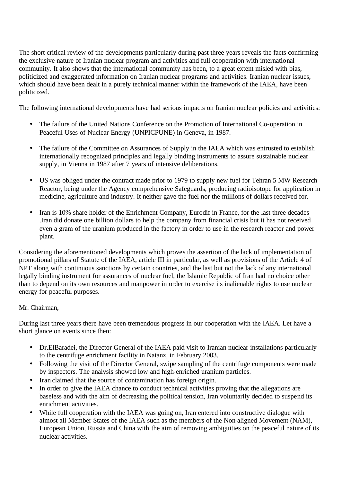The short critical review of the developments particularly during past three years reveals the facts confirming the exclusive nature of Iranian nuclear program and activities and full cooperation with international community. It also shows that the international community has been, to a great extent misled with bias, politicized and exaggerated information on Iranian nuclear programs and activities. Iranian nuclear issues, which should have been dealt in a purely technical manner within the framework of the IAEA, have been politicized.

The following international developments have had serious impacts on Iranian nuclear policies and activities:

- The failure of the United Nations Conference on the Promotion of International Co-operation in Peaceful Uses of Nuclear Energy (UNPICPUNE) in Geneva, in 1987.
- The failure of the Committee on Assurances of Supply in the IAEA which was entrusted to establish internationally recognized principles and legally binding instruments to assure sustainable nuclear supply, in Vienna in 1987 after 7 years of intensive deliberations.
- US was obliged under the contract made prior to 1979 to supply new fuel for Tehran 5 MW Research Reactor, being under the Agency comprehensive Safeguards, producing radioisotope for application in medicine, agriculture and industry. It neither gave the fuel nor the millions of dollars received for.
- Iran is 10% share holder of the Enrichment Company, Eurodif in France, for the last three decades .Iran did donate one billion dollars to help the company from financial crisis but it has not received even a gram of the uranium produced in the factory in order to use in the research reactor and power plant.

Considering the aforementioned developments which proves the assertion of the lack of implementation of promotional pillars of Statute of the IAEA, article III in particular, as well as provisions of the Article 4 of NPT along with continuous sanctions by certain countries, and the last but not the lack of any international legally binding instrument for assurances of nuclear fuel, the Islamic Republic of Iran had no choice other than to depend on its own resources and manpower in order to exercise its inalienable rights to use nuclear energy for peaceful purposes.

# Mr. Chairman,

During last three years there have been tremendous progress in our cooperation with the IAEA. Let have a short glance on events since then:

- Dr.ElBaradei, the Director General of the IAEA paid visit to Iranian nuclear installations particularly to the centrifuge enrichment facility in Natanz, in February 2003.
- Following the visit of the Director General, swipe sampling of the centrifuge components were made by inspectors. The analysis showed low and high-enriched uranium particles.
- Iran claimed that the source of contamination has foreign origin.
- In order to give the IAEA chance to conduct technical activities proving that the allegations are baseless and with the aim of decreasing the political tension, Iran voluntarily decided to suspend its enrichment activities.
- While full cooperation with the IAEA was going on, Iran entered into constructive dialogue with almost all Member States of the IAEA such as the members of the Non-aligned Movement (NAM), European Union, Russia and China with the aim of removing ambiguities on the peaceful nature of its nuclear activities.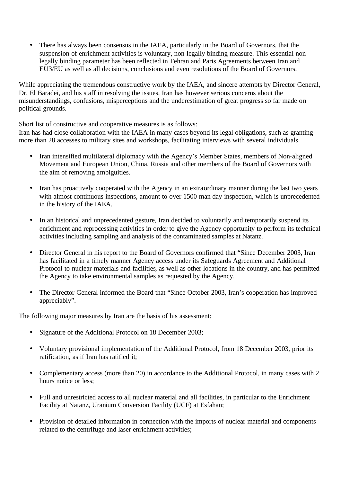• There has always been consensus in the IAEA, particularly in the Board of Governors, that the suspension of enrichment activities is voluntary, non-legally binding measure. This essential nonlegally binding parameter has been reflected in Tehran and Paris Agreements between Iran and EU3/EU as well as all decisions, conclusions and even resolutions of the Board of Governors.

While appreciating the tremendous constructive work by the IAEA, and sincere attempts by Director General, Dr. El Baradei, and his staff in resolving the issues, Iran has however serious concerns about the misunderstandings, confusions, misperceptions and the underestimation of great progress so far made on political grounds.

Short list of constructive and cooperative measures is as follows:

Iran has had close collaboration with the IAEA in many cases beyond its legal obligations, such as granting more than 28 accesses to military sites and workshops, facilitating interviews with several individuals.

- Iran intensified multilateral diplomacy with the Agency's Member States, members of Non-aligned Movement and European Union, China, Russia and other members of the Board of Governors with the aim of removing ambiguities.
- Iran has proactively cooperated with the Agency in an extraordinary manner during the last two years with almost continuous inspections, amount to over 1500 man-day inspection, which is unprecedented in the history of the IAEA.
- In an historical and unprecedented gesture, Iran decided to voluntarily and temporarily suspend its enrichment and reprocessing activities in order to give the Agency opportunity to perform its technical activities including sampling and analysis of the contaminated samples at Natanz.
- Director General in his report to the Board of Governors confirmed that "Since December 2003, Iran has facilitated in a timely manner Agency access under its Safeguards Agreement and Additional Protocol to nuclear materials and facilities, as well as other locations in the country, and has permitted the Agency to take environmental samples as requested by the Agency.
- The Director General informed the Board that "Since October 2003, Iran's cooperation has improved appreciably".

The following major measures by Iran are the basis of his assessment:

- Signature of the Additional Protocol on 18 December 2003;
- Voluntary provisional implementation of the Additional Protocol, from 18 December 2003, prior its ratification, as if Iran has ratified it;
- Complementary access (more than 20) in accordance to the Additional Protocol, in many cases with 2 hours notice or less;
- Full and unrestricted access to all nuclear material and all facilities, in particular to the Enrichment Facility at Natanz, Uranium Conversion Facility (UCF) at Esfahan;
- Provision of detailed information in connection with the imports of nuclear material and components related to the centrifuge and laser enrichment activities;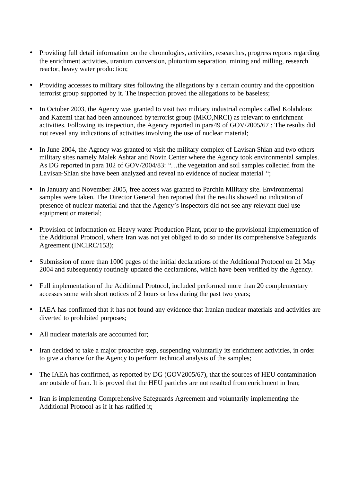- Providing full detail information on the chronologies, activities, researches, progress reports regarding the enrichment activities, uranium conversion, plutonium separation, mining and milling, research reactor, heavy water production;
- Providing accesses to military sites following the allegations by a certain country and the opposition terrorist group supported by it. The inspection proved the allegations to be baseless;
- In October 2003, the Agency was granted to visit two military industrial complex called Kolahdouz and Kazemi that had been announced by terrorist group (MKO,NRCI) as relevant to enrichment activities. Following its inspection, the Agency reported in para49 of GOV/2005/67 : The results did not reveal any indications of activities involving the use of nuclear material;
- In June 2004, the Agency was granted to visit the military complex of Lavisan-Shian and two others military sites namely Malek Ashtar and Novin Center where the Agency took environmental samples. As DG reported in para 102 of GOV/2004/83: "…the vegetation and soil samples collected from the Lavisan-Shian site have been analyzed and reveal no evidence of nuclear material ";
- In January and November 2005, free access was granted to Parchin Military site. Environmental samples were taken. The Director General then reported that the results showed no indication of presence of nuclear material and that the Agency's inspectors did not see any relevant duel-use equipment or material;
- Provision of information on Heavy water Production Plant, prior to the provisional implementation of the Additional Protocol, where Iran was not yet obliged to do so under its comprehensive Safeguards Agreement (INCIRC/153);
- Submission of more than 1000 pages of the initial declarations of the Additional Protocol on 21 May 2004 and subsequently routinely updated the declarations, which have been verified by the Agency.
- Full implementation of the Additional Protocol, included performed more than 20 complementary accesses some with short notices of 2 hours or less during the past two years;
- IAEA has confirmed that it has not found any evidence that Iranian nuclear materials and activities are diverted to prohibited purposes;
- All nuclear materials are accounted for;
- Iran decided to take a major proactive step, suspending voluntarily its enrichment activities, in order to give a chance for the Agency to perform technical analysis of the samples;
- The IAEA has confirmed, as reported by DG (GOV2005/67), that the sources of HEU contamination are outside of Iran. It is proved that the HEU particles are not resulted from enrichment in Iran;
- Iran is implementing Comprehensive Safeguards Agreement and voluntarily implementing the Additional Protocol as if it has ratified it;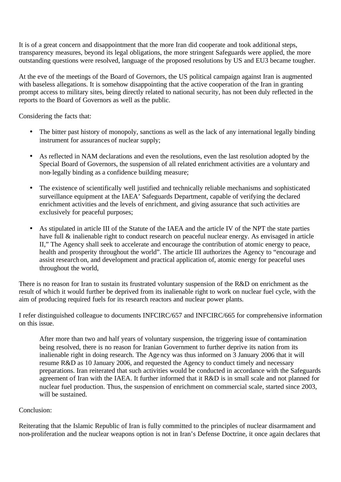It is of a great concern and disappointment that the more Iran did cooperate and took additional steps, transparency measures, beyond its legal obligations, the more stringent Safeguards were applied, the more outstanding questions were resolved, language of the proposed resolutions by US and EU3 became tougher.

At the eve of the meetings of the Board of Governors, the US political campaign against Iran is augmented with baseless allegations. It is somehow disappointing that the active cooperation of the Iran in granting prompt access to military sites, being directly related to national security, has not been duly reflected in the reports to the Board of Governors as well as the public.

Considering the facts that:

- The bitter past history of monopoly, sanctions as well as the lack of any international legally binding instrument for assurances of nuclear supply;
- As reflected in NAM declarations and even the resolutions, even the last resolution adopted by the Special Board of Governors, the suspension of all related enrichment activities are a voluntary and non-legally binding as a confidence building measure;
- The existence of scientifically well justified and technically reliable mechanisms and sophisticated surveillance equipment at the IAEA' Safeguards Department, capable of verifying the declared enrichment activities and the levels of enrichment, and giving assurance that such activities are exclusively for peaceful purposes;
- As stipulated in article III of the Statute of the IAEA and the article IV of the NPT the state parties have full & inalienable right to conduct research on peaceful nuclear energy. As envisaged in article II," The Agency shall seek to accelerate and encourage the contribution of atomic energy to peace, health and prosperity throughout the world". The article III authorizes the Agency to "encourage and assist research on, and development and practical application of, atomic energy for peaceful uses throughout the world,

There is no reason for Iran to sustain its frustrated voluntary suspension of the R&D on enrichment as the result of which it would further be deprived from its inalienable right to work on nuclear fuel cycle, with the aim of producing required fuels for its research reactors and nuclear power plants.

I refer distinguished colleague to documents INFCIRC/657 and INFCIRC/665 for comprehensive information on this issue.

After more than two and half years of voluntary suspension, the triggering issue of contamination being resolved, there is no reason for Iranian Government to further deprive its nation from its inalienable right in doing research. The Agency was thus informed on 3 January 2006 that it will resume R&D as 10 January 2006, and requested the Agency to conduct timely and necessary preparations. Iran reiterated that such activities would be conducted in accordance with the Safeguards agreement of Iran with the IAEA. It further informed that it R&D is in small scale and not planned for nuclear fuel production. Thus, the suspension of enrichment on commercial scale, started since 2003, will be sustained.

## Conclusion:

Reiterating that the Islamic Republic of Iran is fully committed to the principles of nuclear disarmament and non-proliferation and the nuclear weapons option is not in Iran's Defense Doctrine, it once again declares that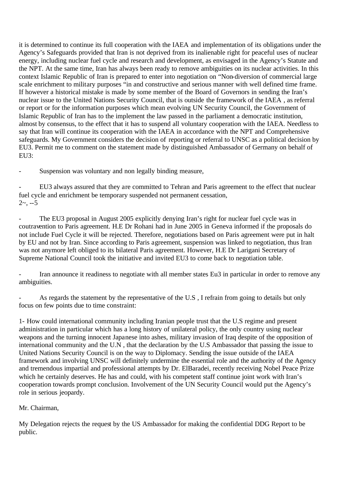it is determined to continue its full cooperation with the IAEA and implementation of its obligations under the Agency's Safeguards provided that Iran is not deprived from its inalienable right for peaceful uses of nuclear energy, including nuclear fuel cycle and research and development, as envisaged in the Agency's Statute and the NPT. At the same time, Iran has always been ready to remove ambiguities on its nuclear activities. In this context Islamic Republic of Iran is prepared to enter into negotiation on "Non-diversion of commercial large scale enrichment to military purposes "in and constructive and serious manner with well defined time frame. If however a historical mistake is made by some member of the Board of Governors in sending the Iran's nuclear issue to the United Nations Security Council, that is outside the framework of the IAEA , as referral or report or for the information purposes which mean evolving UN Security Council, the Government of Islamic Republic of Iran has to the implement the law passed in the parliament a democratic institution, almost by consensus, to the effect that it has to suspend all voluntary cooperation with the IAEA. Needless to say that Iran will continue its cooperation with the IAEA in accordance with the NPT and Comprehensive safeguards. My Government considers the decision of reporting or referral to UNSC as a political decision by EU3. Permit me to comment on the statement made by distinguished Ambassador of Germany on behalf of EU3:

Suspension was voluntary and non legally binding measure,

- EU3 always assured that they are committed to Tehran and Paris agreement to the effect that nuclear fuel cycle and enrichment be temporary suspended not permanent cessation,  $2 - -5$ 

The EU3 proposal in August 2005 explicitly denying Iran's right for nuclear fuel cycle was in coutravention to Paris agreement. H.E Dr Rohani had in June 2005 in Geneva informed if the proposals do not include Fuel Cycle it will be rejected. Therefore, negotiations based on Paris agreement were put in halt by EU and not by Iran. Since according to Paris agreement, suspension was linked to negotiation, thus Iran was not anymore left obliged to its bilateral Paris agreement. However, H.E Dr Larigani Secretary of Supreme National Council took the initiative and invited EU3 to come back to negotiation table.

- Iran announce it readiness to negotiate with all member states Eu3 in particular in order to remove any ambiguities.

As regards the statement by the representative of the U.S. I refrain from going to details but only focus on few points due to time constraint:

1- How could international community including Iranian people trust that the U.S regime and present administration in particular which has a long history of unilateral policy, the only country using nuclear weapons and the turning innocent Japanese into ashes, military invasion of Iraq despite of the opposition of international community and the U.N , that the declaration by the U.S Ambassador that passing the issue to United Nations Security Council is on the way to Diplomacy. Sending the issue outside of the IAEA framework and involving UNSC will definitely undermine the essential role and the authority of the Agency and tremendous impartial and professional attempts by Dr. ElBaradei, recently receiving Nobel Peace Prize which he certainly deserves. He has and could, with his competent staff continue joint work with Iran's cooperation towards prompt conclusion. Involvement of the UN Security Council would put the Agency's role in serious jeopardy.

# Mr. Chairman,

My Delegation rejects the request by the US Ambassador for making the confidential DDG Report to be public.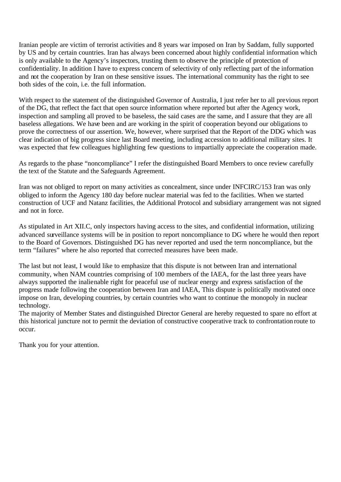Iranian people are victim of terrorist activities and 8 years war imposed on Iran by Saddam, fully supported by US and by certain countries. Iran has always been concerned about highly confidential information which is only available to the Agency's inspectors, trusting them to observe the principle of protection of confidentiality. In addition I have to express concern of selectivity of only reflecting part of the information and not the cooperation by Iran on these sensitive issues. The international community has the right to see both sides of the coin, i.e. the full information.

With respect to the statement of the distinguished Governor of Australia, I just refer her to all previous report of the DG, that reflect the fact that open source information where reported but after the Agency work, inspection and sampling all proved to be baseless, the said cases are the same, and I assure that they are all baseless allegations. We have been and are working in the spirit of cooperation beyond our obligations to prove the correctness of our assertion. We, however, where surprised that the Report of the DDG which was clear indication of big progress since last Board meeting, including accession to additional military sites. It was expected that few colleagues highlighting few questions to impartially appreciate the cooperation made.

As regards to the phase "noncompliance" I refer the distinguished Board Members to once review carefully the text of the Statute and the Safeguards Agreement.

Iran was not obliged to report on many activities as concealment, since under INFCIRC/153 Iran was only obliged to inform the Agency 180 day before nuclear material was fed to the facilities. When we started construction of UCF and Natanz facilities, the Additional Protocol and subsidiary arrangement was not signed and not in force.

As stipulated in Art XII.C, only inspectors having access to the sites, and confidential information, utilizing advanced surveillance systems will be in position to report noncompliance to DG where he would then report to the Board of Governors. Distinguished DG has never reported and used the term noncompliance, but the term "failures" where he also reported that corrected measures have been made.

The last but not least, I would like to emphasize that this dispute is not between Iran and international community, when NAM countries comprising of 100 members of the IAEA, for the last three years have always supported the inalienable right for peaceful use of nuclear energy and express satisfaction of the progress made following the cooperation between Iran and IAEA, This dispute is politically motivated once impose on Iran, developing countries, by certain countries who want to continue the monopoly in nuclear technology.

The majority of Member States and distinguished Director General are hereby requested to spare no effort at this historical juncture not to permit the deviation of constructive cooperative track to confrontation route to occur.

Thank you for your attention.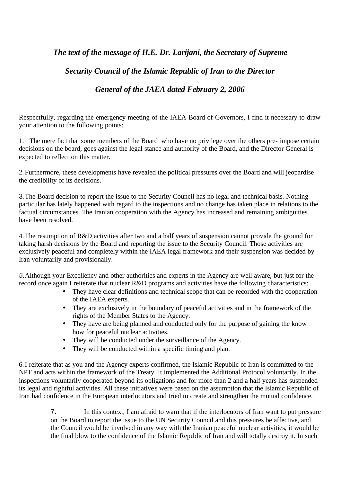# *The text of the message of H.E. Dr. Larijani, the Secretary of Supreme*

# *Security Council of the Islamic Republic of Iran to the Director*

# *General of the JAEA dated February 2, 2006*

Respectfully, regarding the emergency meeting of the IAEA Board of Governors, I find it necessary to draw your attention to the following points:

1. The mere fact that some members of the Board - who have no privilege over the others pre- impose certain decisions on the board, goes against the legal stance and authority of the Board, and the Director General is expected to reflect on this matter.

2.Furthermore, these developments have revealed the political pressures over the Board and will jeopardise the credibility of its decisions.

3.The Board decision to report the issue to the Security Council has no legal and technical basis. Nothing particular has lately happened with regard to the inspections and no change has taken place in relations to the factual circumstances. The Iranian cooperation with the Agency has increased and remaining ambiguities have been resolved.

4.The resumption of R&D activities after two and a half years of suspension cannot provide the ground for taking harsh decisions by the Board and reporting the issue to the Security Council. Those activities are exclusively peaceful and completely within the IAEA legal framework and their suspension was decided by Iran voluntarily and provisionally.

*5.*Although your Excellency and other authorities and experts in the Agency are well aware, but just for the record once again I reiterate that nuclear R&D programs and activities have the following characteristics:

- They have clear definitions and technical scope that can be recorded with the cooperation of the IAEA experts.
- They are exclusively in the boundary of peaceful activities and in the framework of the rights of the Member States to the Agency.
- They have are being planned and conducted only for the purpose of gaining the know. how for peaceful nuclear activities.
- They will be conducted under the surveillance of the Agency.
- They will be conducted within a specific timing and plan.

6.I reiterate that as you and the Agency experts confirmed, the Islamic Republic of Iran is committed to the NPT and acts within the framework of the Treaty. It implemented the Additional Protocol voluntarily. In the inspections voluntarily cooperated beyond its obligations and for more than 2 and a half years has suspended its legal and rightful activities. All these initiative s were based on the assumption that the Islamic Republic of Iran had confidence in the European interlocutors and tried to create and strengthen the mutual confidence.

> 7. In this context, I am afraid to warn that if the interlocutors of Iran want to put pressure on the Board to report the issue to the UN Security Council and this pressures be affective, and the Council would be involved in any way with the Iranian peaceful nuclear activities, it would be the final blow to the confidence of the Islamic Republic of Iran and will totally destroy it. In such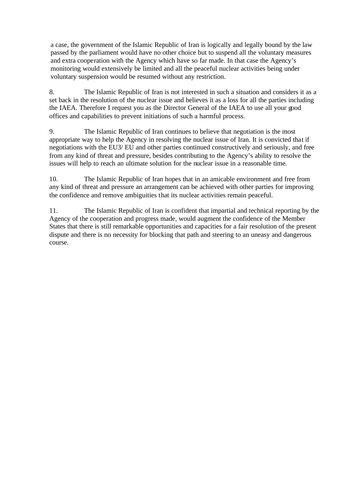a case, the government of the Islamic Republic of Iran is logically and legally bound by the law passed by the parliament would have no other choice but to suspend all the voluntary measures and extra cooperation with the Agency which have so far made. In that case the Agency's monitoring would extensively be limited and all the peaceful nuclear activities being under voluntary suspension would be resumed without any restriction.

8. The Islamic Republic of Iran is not interested in such a situation and considers it as a set back in the resolution of the nuclear issue and believes it as a loss for all the parties including the IAEA. Therefore I request you as the Director General of the IAEA to use all your good offices and capabilities to prevent initiations of such a harmful process.

9. The Islamic Republic of Iran continues to believe that negotiation is the most appropriate way to help the Agency in resolving the nuclear issue of Iran. It is convicted that if negotiations with the EU3/ EU and other parties continued constructively and seriously, and free from any kind of threat and pressure, besides contributing to the Agency's ability to resolve the issues will help to reach an ultimate solution for the nuclear issue in a reasonable time.

10. The Islamic Republic of Iran hopes that in an amicable environment and free from any kind of threat and pressure an arrangement can be achieved with other parties for improving the confidence and remove ambiguities that its nuclear activities remain peaceful.

11. The Islamic Republic of Iran is confident that impartial and technical reporting by the Agency of the cooperation and progress made, would augment the confidence of the Member States that there is still remarkable opportunities and capacities for a fair resolution of the present dispute and there is no necessity for blocking that path and steering to an uneasy and dangerous course.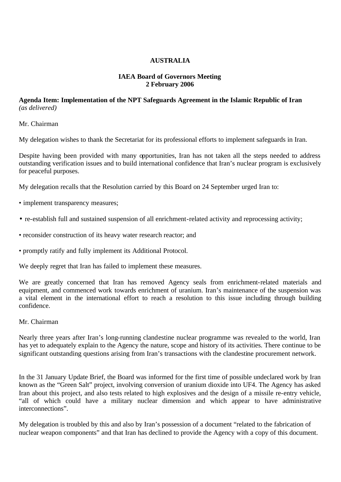# **AUSTRALIA**

## **IAEA Board of Governors Meeting 2 February 2006**

## **Agenda Item: Implementation of the NPT Safeguards Agreement in the Islamic Republic of Iran** *(as delivered)*

Mr. Chairman

My delegation wishes to thank the Secretariat for its professional efforts to implement safeguards in Iran.

Despite having been provided with many opportunities, Iran has not taken all the steps needed to address outstanding verification issues and to build international confidence that Iran's nuclear program is exclusively for peaceful purposes.

My delegation recalls that the Resolution carried by this Board on 24 September urged Iran to:

- implement transparency measures;
- re-establish full and sustained suspension of all enrichment-related activity and reprocessing activity;
- reconsider construction of its heavy water research reactor; and
- promptly ratify and fully implement its Additional Protocol.

We deeply regret that Iran has failed to implement these measures.

We are greatly concerned that Iran has removed Agency seals from enrichment-related materials and equipment, and commenced work towards enrichment of uranium. Iran's maintenance of the suspension was a vital element in the international effort to reach a resolution to this issue including through building confidence.

Mr. Chairman

Nearly three years after Iran's long-running clandestine nuclear programme was revealed to the world, Iran has yet to adequately explain to the Agency the nature, scope and history of its activities. There continue to be significant outstanding questions arising from Iran's transactions with the clandestine procurement network.

In the 31 January Update Brief, the Board was informed for the first time of possible undeclared work by Iran known as the "Green Salt" project, involving conversion of uranium dioxide into UF4. The Agency has asked Iran about this project, and also tests related to high explosives and the design of a missile re-entry vehicle, "all of which could have a military nuclear dimension and which appear to have administrative interconnections".

My delegation is troubled by this and also by Iran's possession of a document "related to the fabrication of nuclear weapon components" and that Iran has declined to provide the Agency with a copy of this document.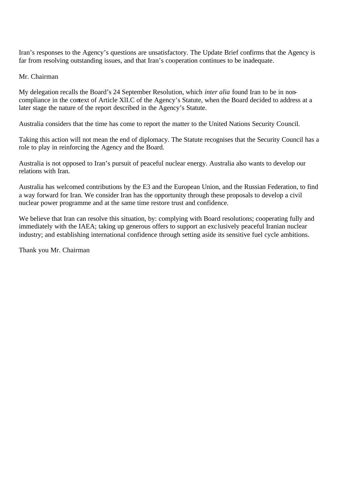Iran's responses to the Agency's questions are unsatisfactory. The Update Brief confirms that the Agency is far from resolving outstanding issues, and that Iran's cooperation continues to be inadequate.

### Mr. Chairman

My delegation recalls the Board's 24 September Resolution, which *inter alia* found Iran to be in noncompliance in the context of Article XlI.C of the Agency's Statute, when the Board decided to address at a later stage the nature of the report described in the Agency's Statute.

Australia considers that the time has come to report the matter to the United Nations Security Council.

Taking this action will not mean the end of diplomacy. The Statute recognises that the Security Council has a role to play in reinforcing the Agency and the Board.

Australia is not opposed to Iran's pursuit of peaceful nuclear energy. Australia also wants to develop our relations with Iran.

Australia has welcomed contributions by the E3 and the European Union, and the Russian Federation, to find a way forward for Iran. We consider Iran has the opportunity through these proposals to develop a civil nuclear power programme and at the same time restore trust and confidence.

We believe that Iran can resolve this situation, by: complying with Board resolutions; cooperating fully and immediately with the IAEA; taking up generous offers to support an exc lusively peaceful Iranian nuclear industry; and establishing international confidence through setting aside its sensitive fuel cycle ambitions.

Thank you Mr. Chairman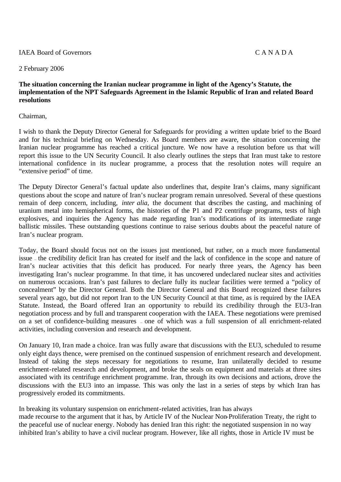#### IAEA Board of Governors C A N A D A

#### 2 February 2006

#### **The situation concerning the Iranian nuclear programme in light of the Agency's Statute, the implementation of the NPT Safeguards Agreement in the Islamic Republic of Iran and related Board resolutions**

#### Chairman,

I wish to thank the Deputy Director General for Safeguards for providing a written update brief to the Board and for his technical briefing on Wednesday. As Board members are aware, the situation concerning the Iranian nuclear programme has reached a critical juncture. We now have a resolution before us that will report this issue to the UN Security Council. It also clearly outlines the steps that Iran must take to restore international confidence in its nuclear programme, a process that the resolution notes will require an "extensive period" of time.

The Deputy Director General's factual update also underlines that, despite Iran's claims, many significant questions about the scope and nature of Iran's nuclear program remain unresolved. Several of these questions remain of deep concern, including, *inter alia,* the document that describes the casting, and machining of uranium metal into hemispherical forms, the histories of the P1 and P2 centrifuge programs, tests of high explosives, and inquiries the Agency has made regarding Iran's modifications of its intermediate range ballistic missiles. These outstanding questions continue to raise serious doubts about the peaceful nature of Iran's nuclear program.

Today, the Board should focus not on the issues just mentioned, but rather, on a much more fundamental issue — the credibility deficit Iran has created for itself and the lack of confidence in the scope and nature of Iran's nuclear activities that this deficit has produced. For nearly three years, the Agency has been investigating Iran's nuclear programme. In that time, it has uncovered undeclared nuclear sites and activities on numerous occasions. Iran's past failures to declare fully its nuclear facilities were termed a "policy of concealment" by the Director General. Both the Director General and this Board recognized these failures several years ago, but did not report Iran to the UN Security Council at that time, as is required by the IAEA Statute. Instead, the Board offered Iran an opportunity to rebuild its credibility through the EU3-Iran negotiation process and by full and transparent cooperation with the IAEA. These negotiations were premised on a set of confidence-building measures — one of which was a full suspension of all enrichment-related activities, including conversion and research and development.

On January 10, Iran made a choice. Iran was fully aware that discussions with the EU3, scheduled to resume only eight days thence, were premised on the continued suspension of enrichment research and development. Instead of taking the steps necessary for negotiations to resume, Iran unilaterally decided to resume enrichment-related research and development, and broke the seals on equipment and materials at three sites associated with its centrifuge enrichment programme. Iran, through its own decisions and actions, drove the discussions with the EU3 into an impasse. This was only the last in a series of steps by which Iran has progressively eroded its commitments.

In breaking its voluntary suspension on enrichment-related activities, Iran has always made recourse to the argument that it has, by Article IV of the Nuclear Non-Proliferation Treaty, the right to the peaceful use of nuclear energy. Nobody has denied Iran this right: the negotiated suspension in no way inhibited Iran's ability to have a civil nuclear program. However, like all rights, those in Article IV must be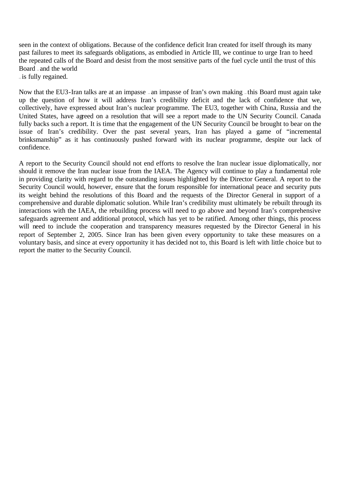seen in the context of obligations. Because of the confidence deficit Iran created for itself through its many past failures to meet its safeguards obligations, as embodied in Article III, we continue to urge Iran to heed the repeated calls of the Board and desist from the most sensitive parts of the fuel cycle until the trust of this Board — and the world

— is fully regained.

Now that the EU3-Iran talks are at an impasse — an impasse of Iran's own making — this Board must again take up the question of how it will address Iran's credibility deficit and the lack of confidence that we, collectively, have expressed about Iran's nuclear programme. The EU3, together with China, Russia and the United States, have agreed on a resolution that will see a report made to the UN Security Council. Canada fully backs such a report. It is time that the engagement of the UN Security Council be brought to bear on the issue of Iran's credibility. Over the past several years, Iran has played a game of "incremental brinksmanship" as it has continuously pushed forward with its nuclear programme, despite our lack of confidence.

A report to the Security Council should not end efforts to resolve the Iran nuclear issue diplomatically, nor should it remove the Iran nuclear issue from the IAEA. The Agency will continue to play a fundamental role in providing clarity with regard to the outstanding issues highlighted by the Director General. A report to the Security Council would, however, ensure that the forum responsible for international peace and security puts its weight behind the resolutions of this Board and the requests of the Director General in support of a comprehensive and durable diplomatic solution. While Iran's credibility must ultimately be rebuilt through its interactions with the IAEA, the rebuilding process will need to go above and beyond Iran's comprehensive safeguards agreement and additional protocol, which has yet to be ratified. Among other things, this process will need to include the cooperation and transparency measures requested by the Director General in his report of September 2, 2005. Since Iran has been given every opportunity to take these measures on a voluntary basis, and since at every opportunity it has decided not to, this Board is left with little choice but to report the matter to the Security Council.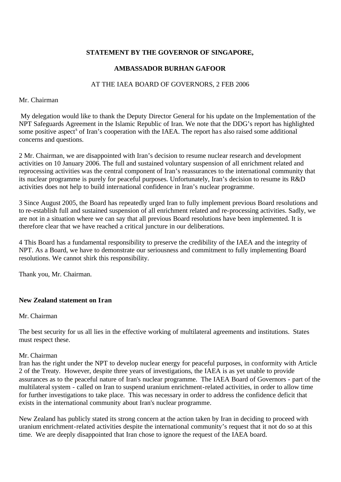# **STATEMENT BY THE GOVERNOR OF SINGAPORE,**

# **AMBASSADOR BURHAN GAFOOR**

### AT THE IAEA BOARD OF GOVERNORS, 2 FEB 2006

#### Mr. Chairman

 My delegation would like to thank the Deputy Director General for his update on the Implementation of the NPT Safeguards Agreement in the Islamic Republic of Iran. We note that the DDG's report has highlighted some positive aspect<sup>s</sup> of Iran's cooperation with the IAEA. The report has also raised some additional concerns and questions.

2 Mr. Chairman, we are disappointed with Iran's decision to resume nuclear research and development activities on 10 January 2006. The full and sustained voluntary suspension of all enrichment related and reprocessing activities was the central component of Iran's reassurances to the international community that its nuclear programme is purely for peaceful purposes. Unfortunately, Iran's decision to resume its R&D activities does not help to build international confidence in Iran's nuclear programme.

3 Since August 2005*,* the Board has repeatedly urged Iran to fully implement previous Board resolutions and to re-establish full and sustained suspension of all enrichment related and re-processing activities. Sadly, we are not in a situation where we can say that all previous Board resolutions have been implemented. It is therefore clear that we have reached a critical juncture in our deliberations.

4 This Board has a fundamental responsibility to preserve the credibility of the IAEA and the integrity of NPT. As a Board, we have to demonstrate our seriousness and commitment to fully implementing Board resolutions. We cannot shirk this responsibility.

Thank you, Mr. Chairman.

## **New Zealand statement on Iran**

#### Mr. Chairman

The best security for us all lies in the effective working of multilateral agreements and institutions. States must respect these.

#### Mr. Chairman

Iran has the right under the NPT to develop nuclear energy for peaceful purposes, in conformity with Article 2 of the Treaty. However, despite three years of investigations, the IAEA is as yet unable to provide assurances as to the peaceful nature of Iran's nuclear programme. The IAEA Board of Governors - part of the multilateral system - called on Iran to suspend uranium enrichment-related activities, in order to allow time for further investigations to take place. This was necessary in order to address the confidence deficit that exists in the international community about Iran's nuclear programme.

New Zealand has publicly stated its strong concern at the action taken by Iran in deciding to proceed with uranium enrichment-related activities despite the international community's request that it not do so at this time. We are deeply disappointed that Iran chose to ignore the request of the IAEA board.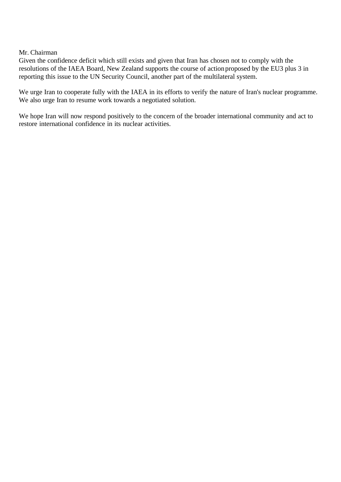#### Mr. Chairman

Given the confidence deficit which still exists and given that Iran has chosen not to comply with the resolutions of the IAEA Board, New Zealand supports the course of action proposed by the EU3 plus 3 in reporting this issue to the UN Security Council, another part of the multilateral system.

We urge Iran to cooperate fully with the IAEA in its efforts to verify the nature of Iran's nuclear programme. We also urge Iran to resume work towards a negotiated solution.

We hope Iran will now respond positively to the concern of the broader international community and act to restore international confidence in its nuclear activities.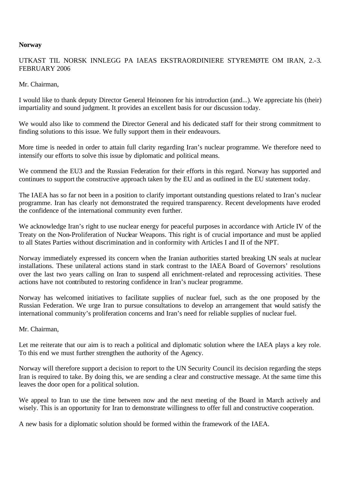#### **Norway**

# UTKAST TIL NORSK INNLEGG PA IAEAS EKSTRAORDINIERE STYREMØTE OM IRAN, 2.-3. FEBRUARY 2006

#### Mr. Chairman,

I would like to thank deputy Director General Heinonen for his introduction (and...). We appreciate his (their) impartiality and sound judgment. It provides an excellent basis for our discussion today.

We would also like to commend the Director General and his dedicated staff for their strong commitment to finding solutions to this issue. We fully support them in their endeavours.

More time is needed in order to attain full clarity regarding Iran's nuclear programme. We therefore need to intensify our efforts to solve this issue by diplomatic and political means.

We commend the EU3 and the Russian Federation for their efforts in this regard. Norway has supported and continues to support the constructive approach taken by the EU and as outlined in the EU statement today.

The IAEA has so far not been in a position to clarify important outstanding questions related to Iran's nuclear programme. Iran has clearly not demonstrated the required transparency. Recent developments have eroded the confidence of the international community even further.

We acknowledge Iran's right to use nuclear energy for peaceful purposes in accordance with Article IV of the Treaty on the Non-Proliferation of Nuclear Weapons. This right is of crucial importance and must be applied to all States Parties without discrimination and in conformity with Articles I and II of the NPT.

Norway immediately expressed its concern when the Iranian authorities started breaking UN seals at nuclear installations. These unilateral actions stand in stark contrast to the IAEA Board of Governors' resolutions over the last two years calling on Iran to suspend all enrichment-related and reprocessing activities. These actions have not contributed to restoring confidence in Iran's nuclear programme.

Norway has welcomed initiatives to facilitate supplies of nuclear fuel, such as the one proposed by the Russian Federation. We urge Iran to pursue consultations to develop an arrangement that would satisfy the international community's proliferation concerns and Iran's need for reliable supplies of nuclear fuel.

#### Mr. Chairman,

Let me reiterate that our aim is to reach a political and diplomatic solution where the IAEA plays a key role. To this end we must further strengthen the authority of the Agency.

Norway will therefore support a decision to report to the UN Security Council its decision regarding the steps Iran is required to take. By doing this, we are sending a clear and constructive message. At the same time this leaves the door open for a political solution.

We appeal to Iran to use the time between now and the next meeting of the Board in March actively and wisely. This is an opportunity for Iran to demonstrate willingness to offer full and constructive cooperation.

A new basis for a diplomatic solution should be formed within the framework of the IAEA.